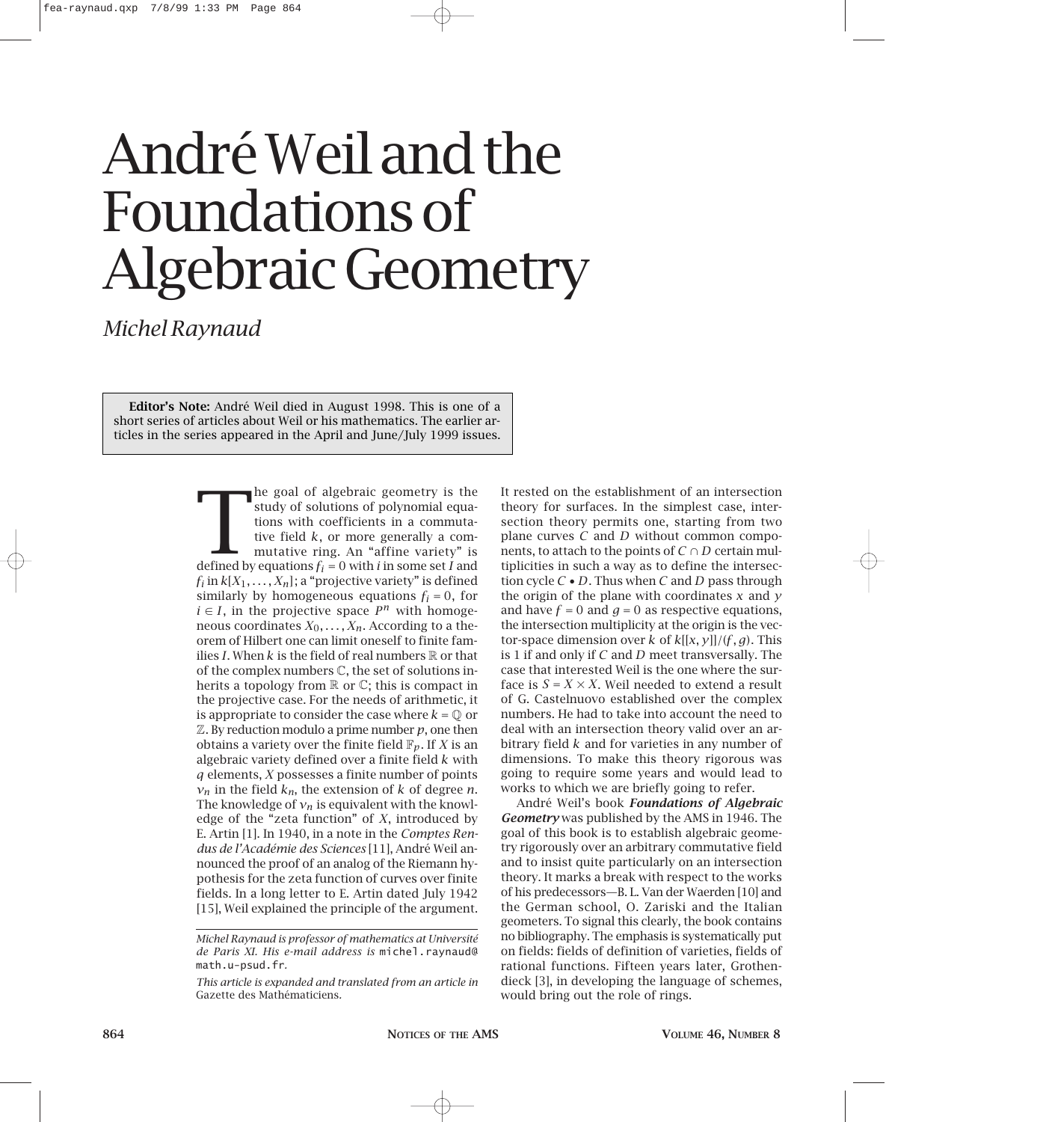## André Weil and the Foundations of Algebraic Geometry

*Michel Raynaud*

**Editor's Note:** André Weil died in August 1998. This is one of a short series of articles about Weil or his mathematics. The earlier articles in the series appeared in the April and June/July 1999 issues.

> **Example 8** and of algebraic geometry is the study of solutions of polynomial equations with coefficients in a commutative field  $k$ , or more generally a commutative ring. An "affine variety" is defined by equations  $f_i =$ he goal of algebraic geometry is the study of solutions of polynomial equations with coefficients in a commutative field *k*, or more generally a commutative ring. An "affine variety" is  $f_i$  in  $k[X_1, \ldots, X_n]$ ; a "projective variety" is defined similarly by homogeneous equations  $f_i = 0$ , for  $i \in I$ , in the projective space  $P^n$  with homogeneous coordinates  $X_0, \ldots, X_n$ . According to a theorem of Hilbert one can limit oneself to finite families *I*. When  $k$  is the field of real numbers  $\mathbb R$  or that of the complex numbers C, the set of solutions inherits a topology from  $\mathbb R$  or  $\mathbb C$ ; this is compact in the projective case. For the needs of arithmetic, it is appropriate to consider the case where  $k = 0$  or  $\mathbb Z$ . By reduction modulo a prime number  $p$ , one then obtains a variety over the finite field  $\mathbb{F}_p$ . If *X* is an algebraic variety defined over a finite field *k* with *q* elements, *X* possesses a finite number of points  $v_n$  in the field  $k_n$ , the extension of *k* of degree *n*. The knowledge of  $v_n$  is equivalent with the knowledge of the "zeta function" of *X*, introduced by E. Artin [1]. In 1940, in a note in the *Comptes Rendus de l'Académie des Sciences* [11], André Weil announced the proof of an analog of the Riemann hypothesis for the zeta function of curves over finite fields. In a long letter to E. Artin dated July 1942 [15], Weil explained the principle of the argument.

It rested on the establishment of an intersection theory for surfaces. In the simplest case, intersection theory permits one, starting from two plane curves *C* and *D* without common components, to attach to the points of  $C \cap D$  certain multiplicities in such a way as to define the intersection cycle *C* • *D*. Thus when *C* and *D* pass through the origin of the plane with coordinates *x* and *y* and have  $f = 0$  and  $g = 0$  as respective equations, the intersection multiplicity at the origin is the vector-space dimension over *k* of *k*[[*x, y*]]*/*(*f,g*). This is 1 if and only if *C* and *D* meet transversally. The case that interested Weil is the one where the surface is  $S = X \times X$ . Weil needed to extend a result of G. Castelnuovo established over the complex numbers. He had to take into account the need to deal with an intersection theory valid over an arbitrary field *k* and for varieties in any number of dimensions. To make this theory rigorous was going to require some years and would lead to works to which we are briefly going to refer.

André Weil's book *Foundations of Algebraic Geometry* was published by the AMS in 1946. The goal of this book is to establish algebraic geometry rigorously over an arbitrary commutative field and to insist quite particularly on an intersection theory. It marks a break with respect to the works of his predecessors—B. L. Van der Waerden [10] and the German school, O. Zariski and the Italian geometers. To signal this clearly, the book contains no bibliography. The emphasis is systematically put on fields: fields of definition of varieties, fields of rational functions. Fifteen years later, Grothendieck [3], in developing the language of schemes, would bring out the role of rings.

*Michel Raynaud is professor of mathematics at Université de Paris XI. His e-mail address is* michel.raynaud@ math.u-psud.fr*.*

*This article is expanded and translated from an article in* Gazette des Mathématiciens*.*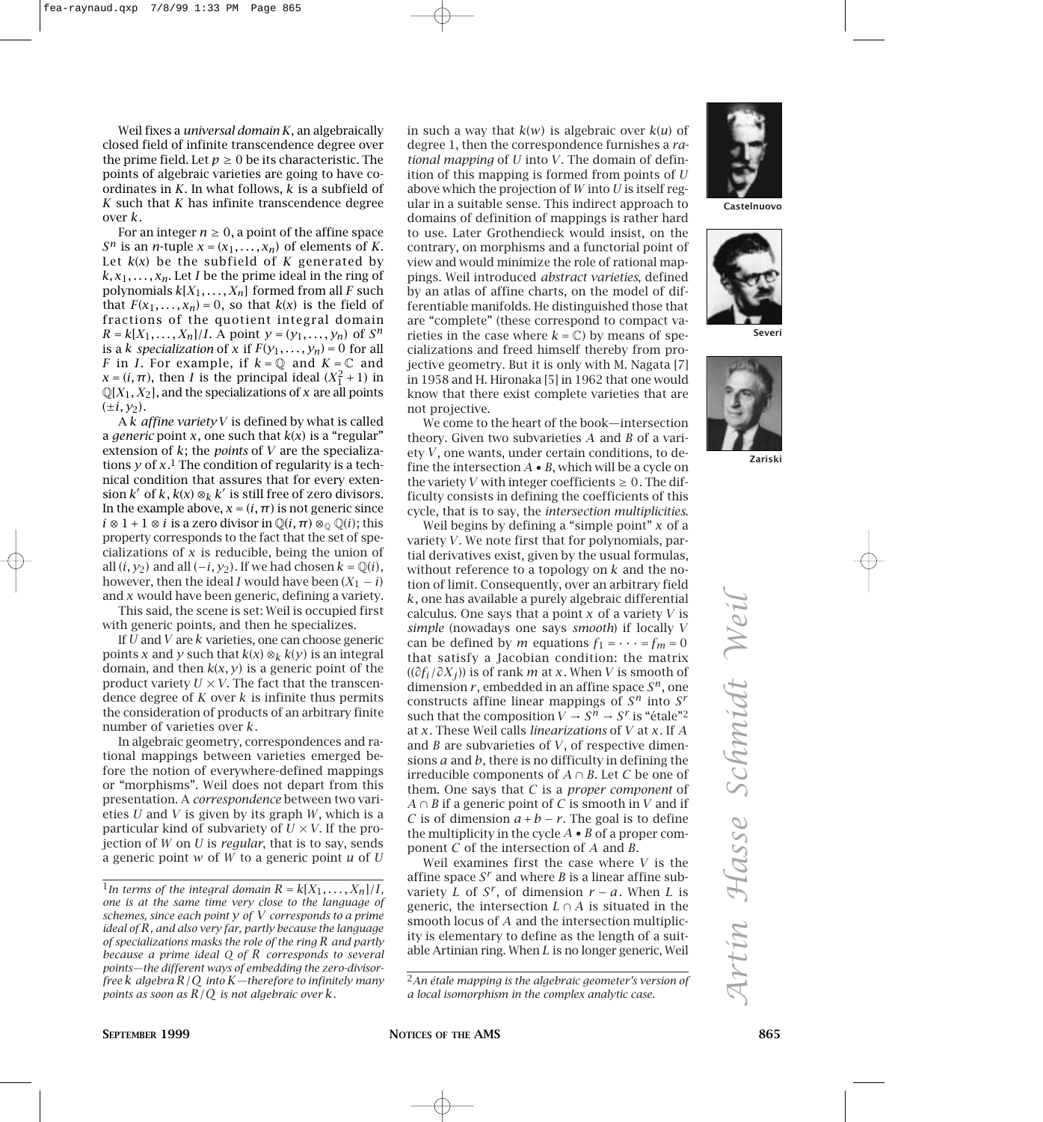Weil fixes a *universal domain K*, an algebraically closed field of infinite transcendence degree over the prime field. Let  $p \geq 0$  be its characteristic. The points of algebraic varieties are going to have coordinates in *K*. In what follows, *k* is a subfield of *K* such that *K* has infinite transcendence degree over *k*.

For an integer  $n \geq 0$ , a point of the affine space *S<sup>n</sup>* is an *n*-tuple  $x = (x_1, \ldots, x_n)$  of elements of *K*. Let *k*(*x*) be the subfield of *K* generated by  $k, x_1, \ldots, x_n$ . Let *I* be the prime ideal in the ring of polynomials  $k[X_1, \ldots, X_n]$  formed from all *F* such that  $F(x_1,...,x_n)=0$ , so that  $k(x)$  is the field of fractions of the quotient integral domain  $R = k[X_1, \ldots, X_n]/I$ . A point  $y = (y_1, \ldots, y_n)$  of  $S^n$ is a *k specialization* of *x* if  $F(y_1, \ldots, y_n) = 0$  for all *F* in *I*. For example, if  $k = \mathbb{Q}$  and  $K = \mathbb{C}$  and  $x = (i, \pi)$ , then *I* is the principal ideal  $(X_1^2 + 1)$  in  $\mathbb{Q}[X_1, X_2]$ , and the specializations of *x* are all points  $(\pm i, y_2)$ .

A *k affine variety V* is defined by what is called a *generic* point *x*, one such that  $k(x)$  is a "regular" extension of *k*; the *points* of *V* are the specializations *y* of *x*.1 The condition of regularity is a technical condition that assures that for every extension  $k'$  of  $k$ ,  $k(x) \otimes_k k'$  is still free of zero divisors. In the example above,  $x = (i, \pi)$  is not generic since  $i \otimes 1 + 1 \otimes i$  is a zero divisor in  $\mathbb{Q}(i, \pi) \otimes_{\mathbb{Q}} \mathbb{Q}(i)$ ; this property corresponds to the fact that the set of specializations of *x* is reducible, being the union of all  $(i, y_2)$  and all  $(-i, y_2)$ . If we had chosen  $k = \mathbb{Q}(i)$ , however, then the ideal *I* would have been  $(X_1 - i)$ and *x* would have been generic, defining a variety.

This said, the scene is set: Weil is occupied first with generic points, and then he specializes.

If *U* and *V* are *k* varieties, one can choose generic points *x* and *y* such that  $k(x) \otimes_k k(y)$  is an integral domain, and then  $k(x, y)$  is a generic point of the product variety  $U \times V$ . The fact that the transcendence degree of *K* over *k* is infinite thus permits the consideration of products of an arbitrary finite number of varieties over *k*.

In algebraic geometry, correspondences and rational mappings between varieties emerged before the notion of everywhere-defined mappings or "morphisms". Weil does not depart from this presentation. A *correspondence* between two varieties *U* and *V* is given by its graph *W*, which is a particular kind of subvariety of  $U \times V$ . If the projection of *W* on *U* is *regular*, that is to say, sends a generic point *w* of *W* to a generic point *u* of *U*

in such a way that *k*(*w*) is algebraic over *k*(*u*) of degree 1, then the correspondence furnishes a *rational mapping* of *U* into *V*. The domain of definition of this mapping is formed from points of *U* above which the projection of *W* into *U* is itself regular in a suitable sense. This indirect approach to domains of definition of mappings is rather hard to use. Later Grothendieck would insist, on the contrary, on morphisms and a functorial point of view and would minimize the role of rational mappings. Weil introduced *abstract varieties*, defined by an atlas of affine charts, on the model of differentiable manifolds. He distinguished those that are "complete" (these correspond to compact varieties in the case where  $k = \mathbb{C}$ ) by means of specializations and freed himself thereby from projective geometry. But it is only with M. Nagata [7] in 1958 and H. Hironaka [5] in 1962 that one would know that there exist complete varieties that are not projective.

We come to the heart of the book—intersection theory. Given two subvarieties *A* and *B* of a variety *V*, one wants, under certain conditions, to define the intersection  $A \bullet B$ , which will be a cycle on the variety *V* with integer coefficients  $\geq 0$ . The difficulty consists in defining the coefficients of this cycle, that is to say, the *intersection multiplicities*.

Weil begins by defining a "simple point" *x* of a variety *V*. We note first that for polynomials, partial derivatives exist, given by the usual formulas, without reference to a topology on *k* and the notion of limit. Consequently, over an arbitrary field *k*, one has available a purely algebraic differential calculus. One says that a point *x* of a variety *V* is *simple* (nowadays one says *smooth*) if locally *V* can be defined by *m* equations  $f_1 = \cdots = f_m = 0$ that satisfy a Jacobian condition: the matrix ((*∂fi/∂Xj* )) is of rank *m* at *x*. When *V* is smooth of dimension *r* , embedded in an affine space *Sn*, one constructs affine linear mappings of *S<sup>n</sup>* into *S<sup>r</sup>* such that the composition  $V \rightarrow S^n \rightarrow S^r$  is "étale"<sup>2</sup> at *x*. These Weil calls *linearizations* of *V* at *x*. If *A* and *B* are subvarieties of *V*, of respective dimensions *a* and *b*, there is no difficulty in defining the irreducible components of  $A \cap B$ . Let C be one of them. One says that *C* is a *proper component* of *A* ∩ *B* if a generic point of *C* is smooth in *V* and if *C* is of dimension  $a + b - r$ . The goal is to define the multiplicity in the cycle *A* • *B* of a proper component *C* of the intersection of *A* and *B*.

Weil examines first the case where *V* is the affine space *S<sup>r</sup>* and where *B* is a linear affine subvariety *L* of  $S^r$ , of dimension  $r - a$ . When *L* is generic, the intersection  $L \cap A$  is situated in the smooth locus of *A* and the intersection multiplicity is elementary to define as the length of a suitable Artinian ring. When *L* is no longer generic, Weil

2*An étale mapping is the algebraic geometer's version of a local isomorphism in the complex analytic case.*







**Severi**



**Zariski**

<sup>&</sup>lt;sup>1</sup>In terms of the integral domain  $R = k[X_1, \ldots, X_n]/I$ , *one is at the same time very close to the language of schemes, since each point y of V corresponds to a prime ideal of R, and also very far, partly because the language of specializations masks the role of the ring R and partly because a prime ideal Q of R corresponds to several points—the different ways of embedding the zero-divisorfree k algebra R/Q into K—therefore to infinitely many points as soon as R/Q is not algebraic over k.*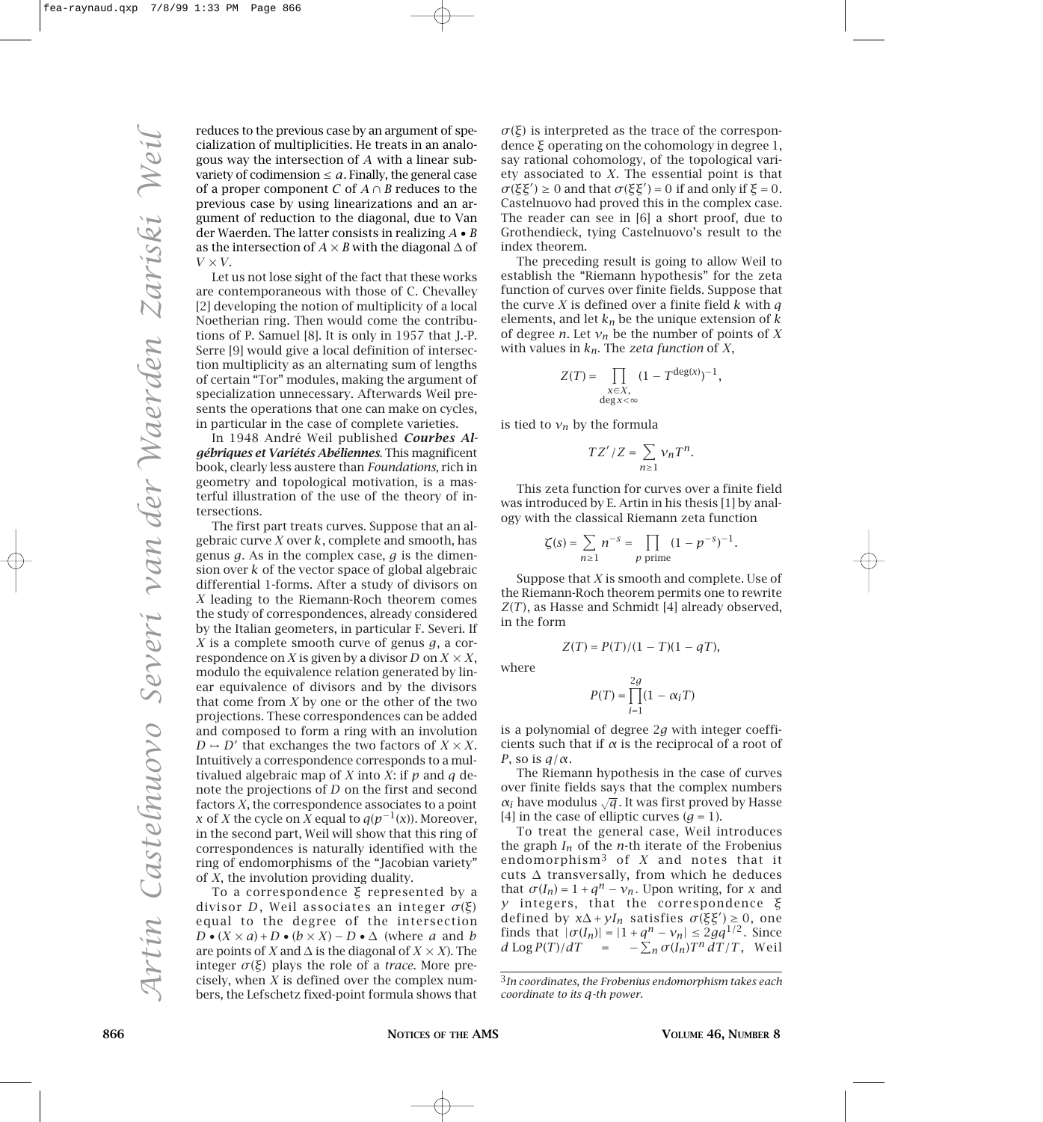reduces to the previous case by an argument of specialization of multiplicities. He treats in an analogous way the intersection of *A* with a linear subvariety of codimension  $\le a$ . Finally, the general case of a proper component *C* of  $A \cap B$  reduces to the previous case by using linearizations and an argument of reduction to the diagonal, due to Van der Waerden. The latter consists in realizing *A* • *B* as the intersection of  $A \times B$  with the diagonal  $\Delta$  of  $V \times V$ .

Let us not lose sight of the fact that these works are contemporaneous with those of C. Chevalley [2] developing the notion of multiplicity of a local Noetherian ring. Then would come the contributions of P. Samuel [8]. It is only in 1957 that J.-P. Serre [9] would give a local definition of intersection multiplicity as an alternating sum of lengths of certain "Tor" modules, making the argument of specialization unnecessary. Afterwards Weil presents the operations that one can make on cycles, in particular in the case of complete varieties.

In 1948 André Weil published *Courbes Algébriques et Variétés Abéliennes*. This magnificent book, clearly less austere than *Foundations*, rich in geometry and topological motivation, is a masterful illustration of the use of the theory of intersections.

The first part treats curves. Suppose that an algebraic curve *X* over *k*, complete and smooth, has genus *g*. As in the complex case, *g* is the dimension over *k* of the vector space of global algebraic differential 1-forms. After a study of divisors on *X* leading to the Riemann-Roch theorem comes the study of correspondences, already considered by the Italian geometers, in particular F. Severi. If *X* is a complete smooth curve of genus *g*, a correspondence on *X* is given by a divisor *D* on  $X \times X$ , modulo the equivalence relation generated by linear equivalence of divisors and by the divisors that come from *X* by one or the other of the two projections. These correspondences can be added and composed to form a ring with an involution  $D \rightarrow D'$  that exchanges the two factors of  $X \times X$ . Intuitively a correspondence corresponds to a multivalued algebraic map of *X* into *X*: if *p* and *q* denote the projections of *D* on the first and second factors *X*, the correspondence associates to a point *x* of *X* the cycle on *X* equal to  $q(p^{-1}(x))$ . Moreover, in the second part, Weil will show that this ring of correspondences is naturally identified with the ring of endomorphisms of the "Jacobian variety" of *X*, the involution providing duality.

To a correspondence *ξ* represented by a divisor *D* , Weil associates an integer *σ*(*ξ*) equal to the degree of the intersection *D* •  $(X \times a) + D$  •  $(b \times X) - D$  • ∆ (where *a* and *b* are points of *X* and  $\Delta$  is the diagonal of *X*  $\times$  *X*). The integer *σ*(*ξ*) plays the role of a *trace*. More precisely, when *X* is defined over the complex numbers, the Lefschetz fixed-point formula shows that  $σ(ξ)$  is interpreted as the trace of the correspondence *ξ* operating on the cohomology in degree 1, say rational cohomology, of the topological variety associated to *X*. The essential point is that  $\sigma$ (*ξξ<sup>1</sup>*) ≥ 0 and that  $\sigma$ (*ξξ<sup>1</sup>*) = 0 if and only if *ξ* = 0. Castelnuovo had proved this in the complex case. The reader can see in [6] a short proof, due to Grothendieck, tying Castelnuovo's result to the index theorem.

The preceding result is going to allow Weil to establish the "Riemann hypothesis" for the zeta function of curves over finite fields. Suppose that the curve *X* is defined over a finite field *k* with *q* elements, and let  $k_n$  be the unique extension of  $k$ of degree *n*. Let  $v_n$  be the number of points of X with values in *kn*. The *zeta function* of *X*,

$$
Z(T) = \prod_{\substack{x \in X, \\ \deg x < \infty}} (1 - T^{\deg(x)})^{-1},
$$

is tied to  $v_n$  by the formula

$$
TZ'/Z = \sum_{n\geq 1} \nu_n T^n.
$$

This zeta function for curves over a finite field was introduced by E. Artin in his thesis [1] by analogy with the classical Riemann zeta function

$$
\zeta(s)=\sum_{n\geq 1}n^{-s}=\prod_{p\text{ prime}}(1-p^{-s})^{-1}.
$$

Suppose that *X* is smooth and complete. Use of the Riemann-Roch theorem permits one to rewrite *Z*(*T*), as Hasse and Schmidt [4] already observed, in the form

$$
Z(T)=P(T)/(1-T)(1-qT),\quad
$$

where

$$
P(T) = \prod_{i=1}^{2g} (1 - \alpha_i T)
$$

is a polynomial of degree 2*g* with integer coefficients such that if *α* is the reciprocal of a root of *P*, so is *q/α*.

The Riemann hypothesis in the case of curves over finite fields says that the complex numbers  $\alpha_i$  have modulus  $\sqrt{q}$ . It was first proved by Hasse [4] in the case of elliptic curves  $(q = 1)$ .

To treat the general case, Weil introduces the graph *In* of the *n*-th iterate of the Frobenius endomorphism3 of *X* and notes that it cuts ∆ transversally, from which he deduces that  $\sigma(I_n) = 1 + q^n - v_n$ . Upon writing, for *x* and *y* integers, that the correspondence *ξ* defined by  $x\Delta + yI_n$  satisfies  $\sigma(\xi\xi') \geq 0$ , one finds that  $|\sigma(I_n)| = |1 + q^n - v_n| \le 2gq^{1/2}$ . Since  $d \text{Log } P(T)/dT = -\sum_{n} \sigma(I_n) T^n dT/T$ , Weil

<sup>3</sup>*In coordinates, the Frobenius endomorphism takes each coordinate to its q-th power.*